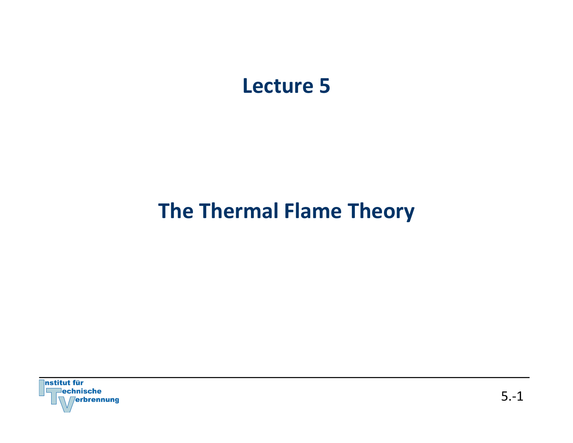## Lecture 5

## **The Thermal Flame Theory**

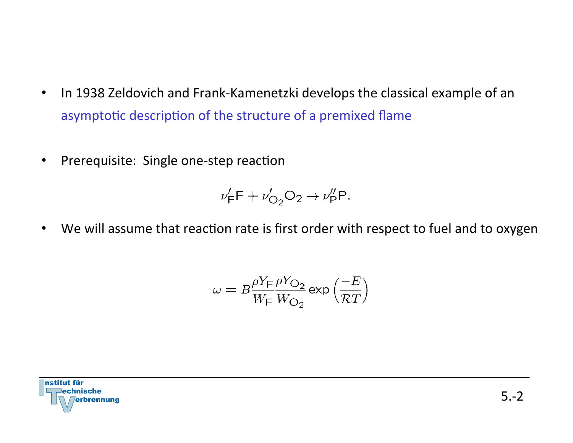- In 1938 Zeldovich and Frank-Kamenetzki develops the classical example of an asymptotic description of the structure of a premixed flame
- Prerequisite: Single one-step reaction

$$
\nu_\text{F}'\text{F} + \nu_{\text{O}_2}'\text{O}_2 \rightarrow \nu_\text{P}''\text{P}.
$$

• We will assume that reaction rate is first order with respect to fuel and to oxygen

$$
\omega = B \frac{\rho Y_{\text{F}}}{W_{\text{F}}} \frac{\rho Y_{\text{O}_2}}{W_{\text{O}_2}} \exp\left(\frac{-E}{\mathcal{R}T}\right)
$$

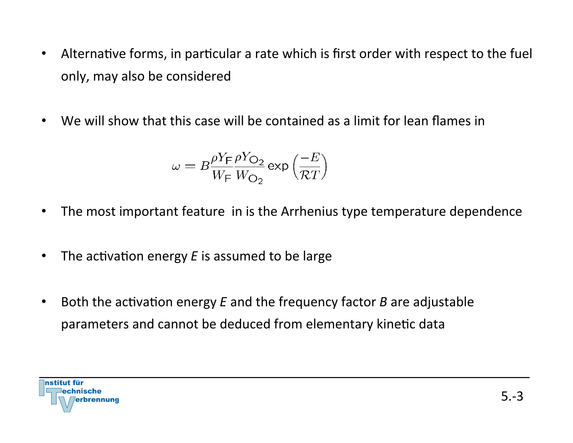- Alternative forms, in particular a rate which is first order with respect to the fuel only, may also be considered
- We will show that this case will be contained as a limit for lean flames in

$$
\omega = B \frac{\rho Y_{\mathsf{F}}}{W_{\mathsf{F}}} \frac{\rho Y_{\mathsf{O}_2}}{W_{\mathsf{O}_2}} \exp\left(\frac{-E}{\mathcal{R}T}\right)
$$

- The most important feature in is the Arrhenius type temperature dependence
- The activation energy *E* is assumed to be large
- Both the activation energy *E* and the frequency factor *B* are adjustable parameters and cannot be deduced from elementary kinetic data

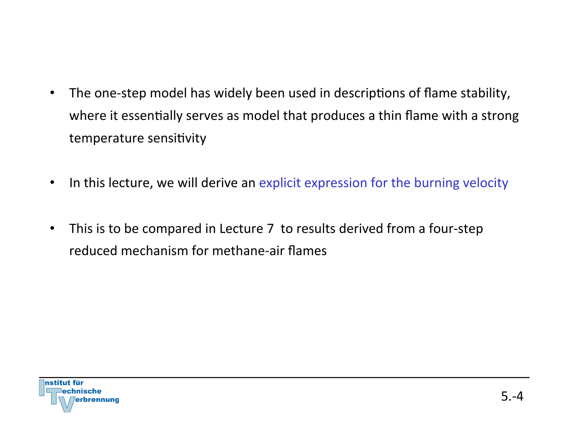- The one-step model has widely been used in descriptions of flame stability, where it essentially serves as model that produces a thin flame with a strong temperature sensitivity
- In this lecture, we will derive an explicit expression for the burning velocity
- This is to be compared in Lecture 7 to results derived from a four-step reduced mechanism for methane-air flames

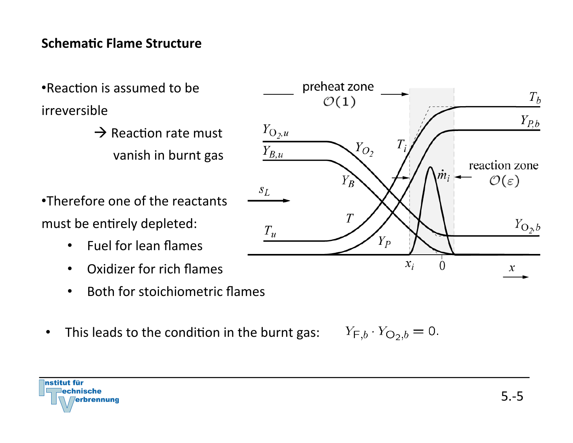## **Schematic Flame Structure**

- •Reaction is assumed to be irreversible
	- $\rightarrow$  Reaction rate must vanish in burnt gas

•Therefore one of the reactants must be entirely depleted:

- Fuel for lean flames
- Oxidizer for rich flames
- **Both for stoichiometric flames**
- This leads to the condition in the burnt gas:



 $Y_{F,b} \cdot Y_{O_2,b} = 0.$ 

Institut für ■echnische erbrennung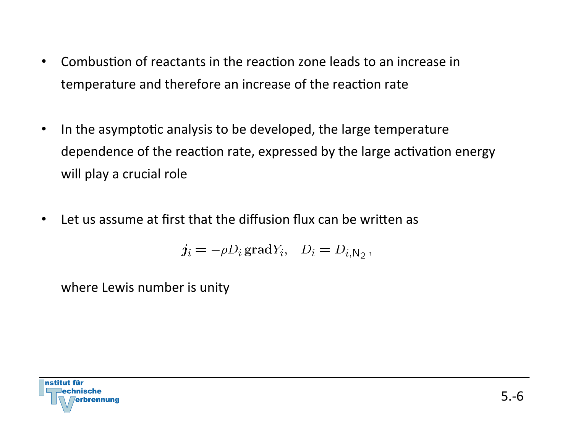- Combustion of reactants in the reaction zone leads to an increase in temperature and therefore an increase of the reaction rate
- In the asymptotic analysis to be developed, the large temperature dependence of the reaction rate, expressed by the large activation energy will play a crucial role
- Let us assume at first that the diffusion flux can be written as

$$
\boldsymbol{j}_i = -\rho D_i \operatorname{grad} Y_i, \quad D_i = D_{i, N_2},
$$

where Lewis number is unity

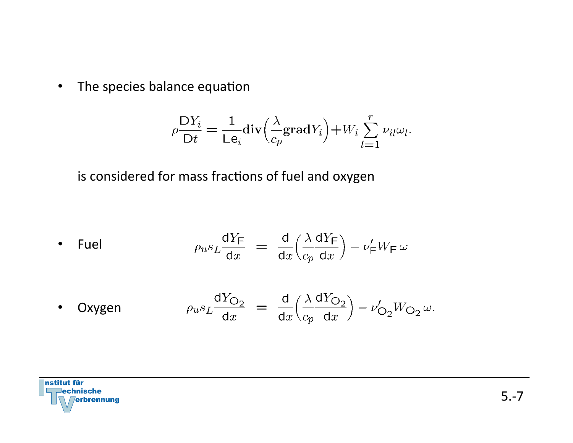• The species balance equation

$$
\rho \frac{\mathsf{D} Y_i}{\mathsf{D} t} = \frac{1}{\mathsf{L} \mathsf{e}_i} \mathbf{div} \left( \frac{\lambda}{c_p} \mathbf{grad} Y_i \right) + W_i \sum_{l=1}^r \nu_{il} \omega_l.
$$

is considered for mass fractions of fuel and oxygen

• **Full** 
$$
\rho_u s_L \frac{dY_F}{dx} = \frac{d}{dx} \left( \frac{\lambda}{c_p} \frac{dY_F}{dx} \right) - \nu'_F W_F \omega
$$

• **Oxygen** 
$$
\rho_u s_L \frac{dY_{O_2}}{dx} = \frac{d}{dx} \left( \frac{\lambda}{c_p} \frac{dY_{O_2}}{dx} \right) - \nu'_{O_2} W_{O_2} \omega.
$$

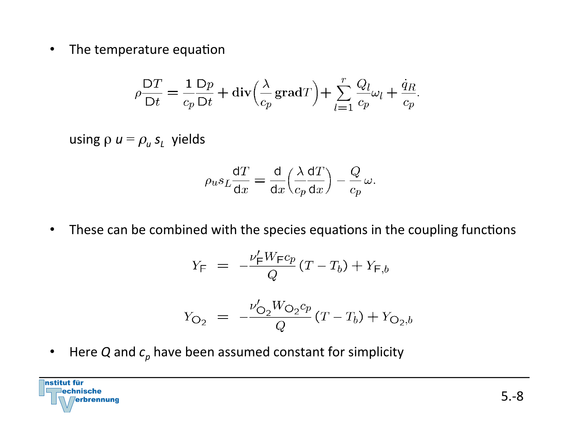• The temperature equation

$$
\rho \frac{\mathsf{D}T}{\mathsf{D}t} = \frac{1}{c_p} \frac{\mathsf{D}p}{\mathsf{D}t} + \text{div} \Big( \frac{\lambda}{c_p} \text{grad} T \Big) + \sum_{l=1}^r \frac{Q_l}{c_p} \omega_l + \frac{\dot{q}_R}{c_p}.
$$

using  $ρ$  *u* =  $ρ<sub>u</sub>$  *s*<sub>*L*</sub> yields

$$
\rho_u s_L \frac{dT}{dx} = \frac{d}{dx} \left( \frac{\lambda}{c_p} \frac{dT}{dx} \right) - \frac{Q}{c_p} \omega.
$$

• These can be combined with the species equations in the coupling functions

$$
Y_{\mathsf{F}} = -\frac{\nu_{\mathsf{F}}' W_{\mathsf{F}} c_p}{Q} (T - T_b) + Y_{\mathsf{F},b}
$$

$$
Y_{\mathcal{O}_2} = -\frac{\nu'_{\mathcal{O}_2} W_{\mathcal{O}_2} c_p}{Q} (T - T_b) + Y_{\mathcal{O}_2, b}
$$

• Here  $Q$  and  $c_p$  have been assumed constant for simplicity

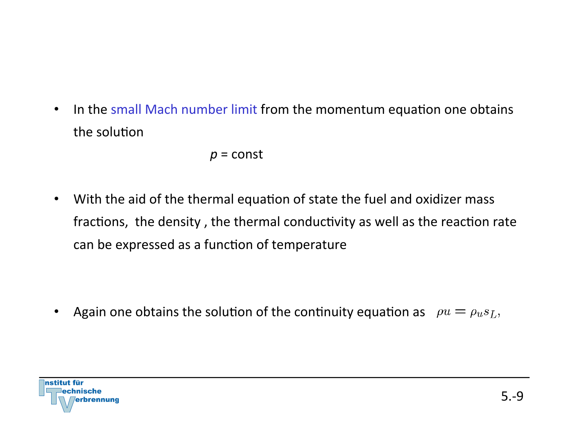- In the small Mach number limit from the momentum equation one obtains the solution
	- $p =$  const
- With the aid of the thermal equation of state the fuel and oxidizer mass fractions, the density, the thermal conductivity as well as the reaction rate can be expressed as a function of temperature

• Again one obtains the solution of the continuity equation as  $\rho u = \rho_u s_L$ ,

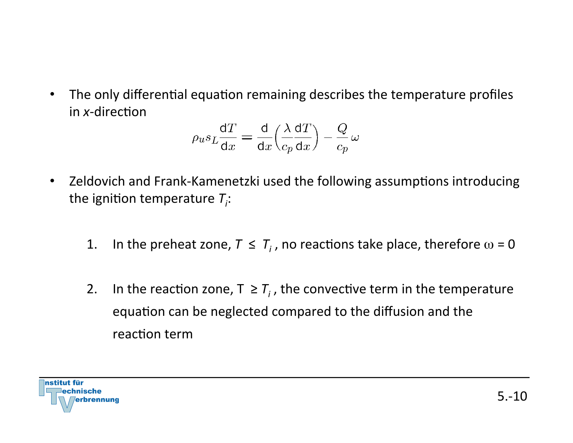• The only differential equation remaining describes the temperature profiles in *x*-direction

$$
o_u s_L \frac{dT}{dx} = \frac{d}{dx} \left(\frac{\lambda}{c_p} \frac{dT}{dx}\right) - \frac{Q}{c_p} \omega
$$

- Zeldovich and Frank-Kamenetzki used the following assumptions introducing the ignition temperature  $T_i$ :
	- 1. In the preheat zone,  $T \leq T_i$ , no reactions take place, therefore  $\omega = 0$
	- 2. In the reaction zone,  $T \geq T_i$ , the convective term in the temperature equation can be neglected compared to the diffusion and the reaction term

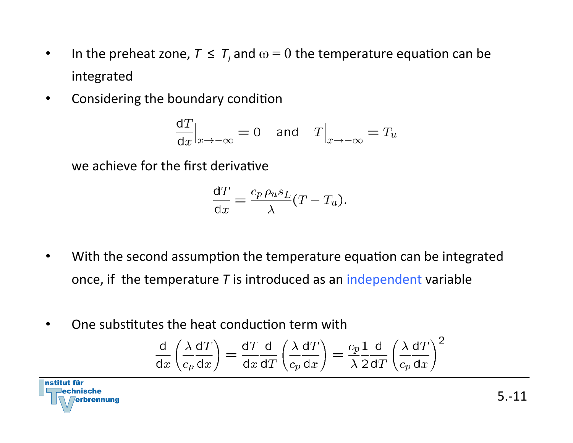- In the preheat zone,  $T \leq T_i$  and  $\omega = 0$  the temperature equation can be integrated
- Considering the boundary condition

$$
\frac{dT}{dx}\Big|_{x\to -\infty} = 0 \quad \text{and} \quad T\Big|_{x\to -\infty} = T_u
$$

we achieve for the first derivative

$$
\frac{\mathrm{d}T}{\mathrm{d}x} = \frac{c_p \,\rho_u s_L}{\lambda} (T - T_u).
$$

- With the second assumption the temperature equation can be integrated once, if the temperature  $T$  is introduced as an independent variable
- One substitutes the heat conduction term with

$$
\frac{d}{dx}\left(\frac{\lambda}{c_p}\frac{dT}{dx}\right) = \frac{dT}{dx}\frac{d}{dT}\left(\frac{\lambda}{c_p}\frac{dT}{dx}\right) = \frac{c_p}{\lambda}\frac{1}{2}\frac{d}{dT}\left(\frac{\lambda}{c_p}\frac{dT}{dx}\right)^2
$$

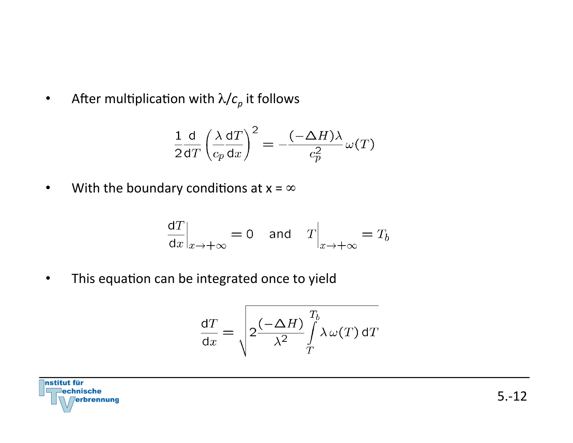• After multiplication with  $\lambda/c_p$  it follows

$$
\frac{1}{2 d T} \left(\frac{\lambda}{c_p d x}\right)^2 = -\frac{(-\Delta H)\lambda}{c_p^2} \omega(T)
$$

• With the boundary conditions at  $x = \infty$ 

$$
\left. \frac{\text{d}T}{\text{d}x} \right|_{x \to +\infty} = 0 \quad \text{and} \quad T \Big|_{x \to +\infty} = T_b
$$

• This equation can be integrated once to yield

$$
\frac{dT}{dx} = \sqrt{2\frac{(-\Delta H)}{\lambda^2} \int_T^{T_b} \lambda \,\omega(T) \,dT}
$$

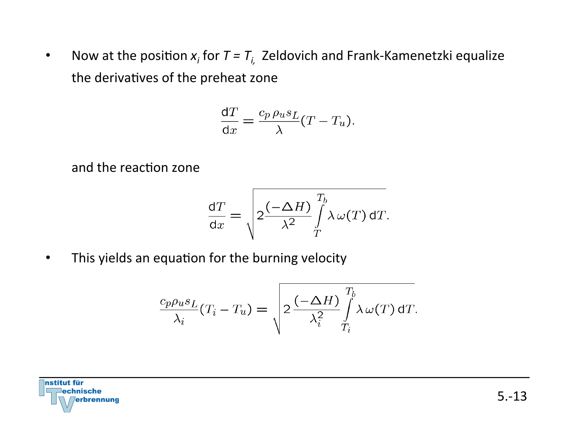• Now at the position  $x_i$  for  $T = T_{i}$ , Zeldovich and Frank-Kamenetzki equalize the derivatives of the preheat zone

$$
\frac{\mathrm{d}T}{\mathrm{d}x} = \frac{c_p \,\rho_u s_L}{\lambda} (T - T_u).
$$

and the reaction zone

$$
\frac{\mathrm{d}T}{\mathrm{d}x} = \sqrt{2\frac{(-\Delta H)}{\lambda^2}\int\limits_T^{T_b} \lambda \,\omega(T)\,\mathrm{d}T}.
$$

• This yields an equation for the burning velocity

$$
\frac{c_p \rho_u s_L}{\lambda_i} (T_i - T_u) = \sqrt{2 \frac{(-\Delta H)}{\lambda_i^2} \int_{T_i}^{T_b} \lambda \, \omega(T) \, \mathrm{d}T}.
$$

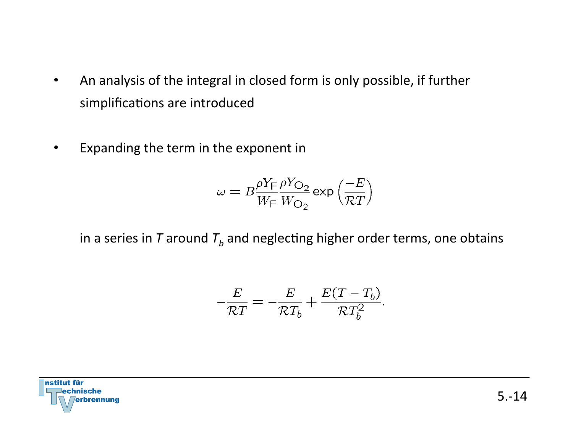- An analysis of the integral in closed form is only possible, if further simplifications are introduced
- Expanding the term in the exponent in

$$
\omega = B \frac{\rho Y_{\text{F}}}{W_{\text{F}}} \frac{\rho Y_{\text{O}_2}}{W_{\text{O}_2}} \exp\left(\frac{-E}{\mathcal{R}T}\right)
$$

in a series in *T* around  $T_b$  and neglecting higher order terms, one obtains

$$
-\frac{E}{\mathcal{R}T} = -\frac{E}{\mathcal{R}T_b} + \frac{E(T - T_b)}{\mathcal{R}T_b^2}.
$$

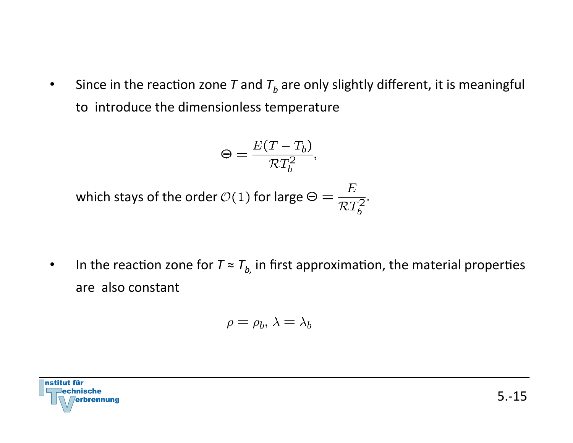• Since in the reaction zone T and  $T_b$  are only slightly different, it is meaningful to introduce the dimensionless temperature

$$
\Theta = \frac{E(T - T_b)}{\mathcal{R}T_b^2},
$$

which stays of the order  $\mathcal{O}(1)$  for large  $\Theta = \frac{E}{\mathcal{R}T_h^2}$ .

• In the reaction zone for  $T \approx T_{b}$ , in first approximation, the material properties are also constant 

$$
\rho=\rho_b,\,\lambda=\lambda_b
$$

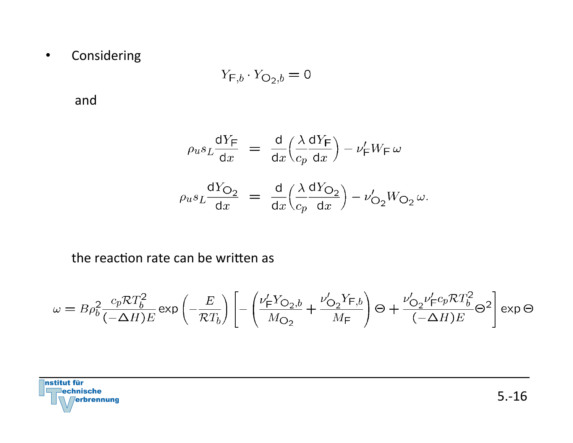• Considering 

$$
Y_{\mathsf{F},b} \cdot Y_{\mathsf{O}_2,b} = 0
$$

 and 

$$
\rho_u s_L \frac{dY_F}{dx} = \frac{d}{dx} \left( \frac{\lambda}{c_p} \frac{dY_F}{dx} \right) - \nu'_F W_F \omega
$$
  

$$
\rho_u s_L \frac{dY_{O_2}}{dx} = \frac{d}{dx} \left( \frac{\lambda}{c_p} \frac{dY_{O_2}}{dx} \right) - \nu'_{O_2} W_{O_2} \omega.
$$

the reaction rate can be written as

$$
\omega = B\rho_b^2 \frac{c_p \mathcal{R} T_b^2}{(-\Delta H)E} \exp\left(-\frac{E}{\mathcal{R} T_b}\right) \left[ -\left(\frac{\nu_{\text{F}}' Y_{\text{O}_2,b}}{M_{\text{O}_2}} + \frac{\nu_{\text{O}_2}' Y_{\text{F},b}}{M_{\text{F}}}\right) \Theta + \frac{\nu_{\text{O}_2}' \nu_{\text{F}}' c_p \mathcal{R} T_b^2}{(-\Delta H)E} \Theta^2 \right] \exp \Theta
$$

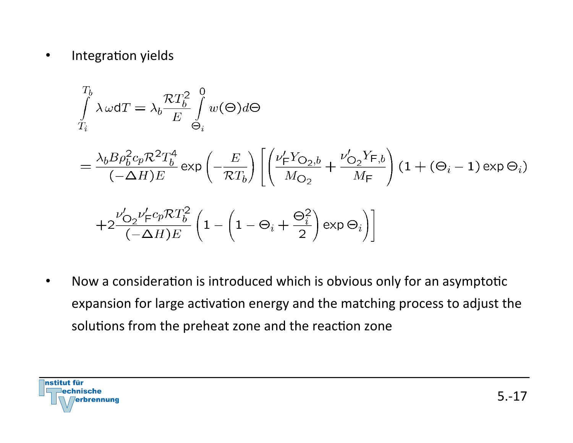• Integration yields

$$
\int_{T_i}^{T_b} \lambda \omega dT = \lambda_b \frac{\mathcal{R}T_b^2}{E} \int_{\Theta_i}^{0} w(\Theta) d\Theta
$$
\n
$$
= \frac{\lambda_b B \rho_b^2 c_p \mathcal{R}^2 T_b^4}{(-\Delta H)E} \exp\left(-\frac{E}{\mathcal{R}T_b}\right) \left[ \left(\frac{\nu_{\mathsf{F}}^{\prime} Y_{\mathsf{O}_2, b}}{M_{\mathsf{O}_2}} + \frac{\nu_{\mathsf{O}_2}^{\prime} Y_{\mathsf{F}, b}}{M_{\mathsf{F}}}\right) (1 + (\Theta_i - 1) \exp \Theta_i) \right]
$$
\n
$$
+ 2 \frac{\nu_{\mathsf{O}_2}^{\prime} \nu_{\mathsf{F}}^{\prime} c_p \mathcal{R} T_b^2}{(-\Delta H)E} \left(1 - \left(1 - \Theta_i + \frac{\Theta_i^2}{2}\right) \exp \Theta_i\right) \right]
$$

• Now a consideration is introduced which is obvious only for an asymptotic expansion for large activation energy and the matching process to adjust the solutions from the preheat zone and the reaction zone

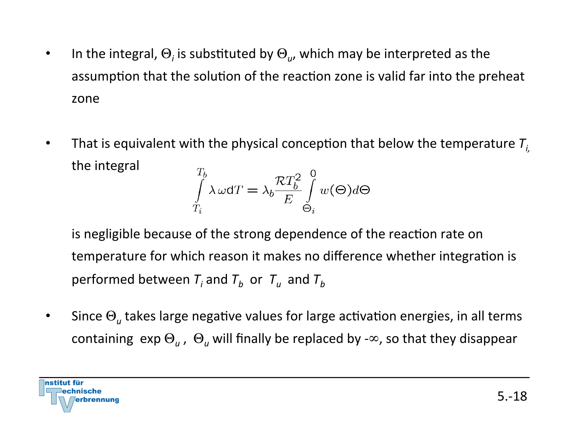- In the integral,  $\Theta_i$  is substituted by  $\Theta_u$ , which may be interpreted as the assumption that the solution of the reaction zone is valid far into the preheat zone
- That is equivalent with the physical conception that below the temperature  $T_{i}$ the integral  $T$  $\sim$

$$
\int_{T_i}^{T_b} \lambda \,\omega \mathrm{d}T = \lambda_b \frac{\mathcal{R}T_b^2}{E} \int_{\Theta_i}^{0} w(\Theta) d\Theta
$$

is negligible because of the strong dependence of the reaction rate on temperature for which reason it makes no difference whether integration is performed between  $T_i$  and  $T_b$  or  $T_u$  and  $T_b$ 

Since  $\Theta_{\mu}$  takes large negative values for large activation energies, in all terms containing  $\exp \Theta_u$ ,  $\Theta_u$  will finally be replaced by - $\infty$ , so that they disappear

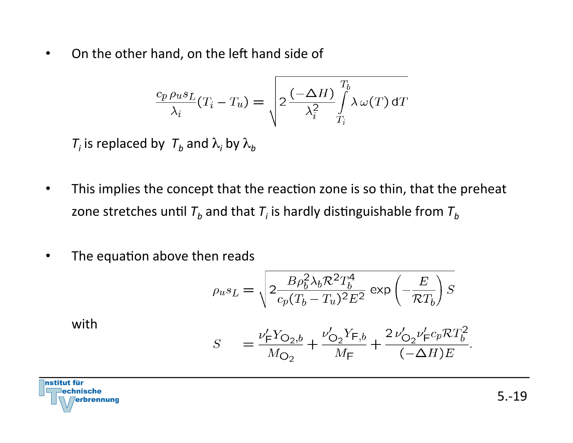• On the other hand, on the left hand side of

$$
\frac{c_p \rho_u s_L}{\lambda_i} (T_i - T_u) = \sqrt{2 \frac{(-\Delta H)}{\lambda_i^2} \int\limits_{T_i}^{T_b} \lambda \omega(T) dT}
$$

 $T_i$  is replaced by  $T_b$  and  $\lambda_i$  by  $\lambda_b$ 

- This implies the concept that the reaction zone is so thin, that the preheat zone stretches until  $T_b$  and that  $T_i$  is hardly distinguishable from  $T_b$
- The equation above then reads

$$
\rho_u s_L = \sqrt{2 \frac{B \rho_b^2 \lambda_b \mathcal{R}^2 T_b^4}{c_p (T_b - T_u)^2 E^2} \exp\left(-\frac{E}{\mathcal{R} T_b}\right) S}
$$

with 

$$
S = \frac{\nu'_{\mathsf{F}} Y_{\mathsf{O}_2, b}}{M_{\mathsf{O}_2}} + \frac{\nu'_{\mathsf{O}_2} Y_{\mathsf{F}, b}}{M_{\mathsf{F}}} + \frac{2 \nu'_{\mathsf{O}_2} \nu'_{\mathsf{F}} c_p \mathcal{R} T_b^2}{(-\Delta H) E}.
$$

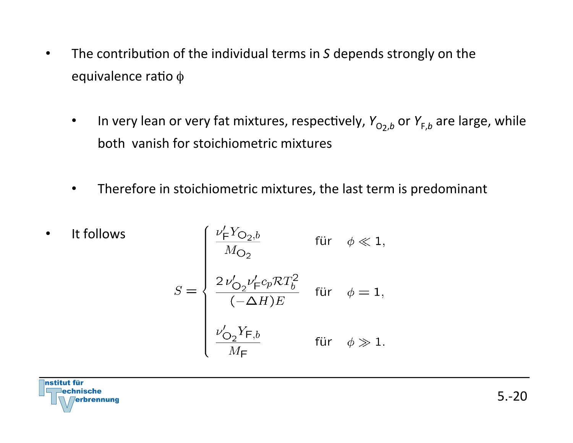- The contribution of the individual terms in S depends strongly on the equivalence ratio  $\phi$ 
	- In very lean or very fat mixtures, respectively,  $Y_{O_2,b}$  or  $Y_{F,b}$  are large, while both vanish for stoichiometric mixtures
	- Therefore in stoichiometric mixtures, the last term is predominant

• It follows  
\n
$$
S = \begin{cases}\n\frac{\nu'_{\mathsf{F}} Y_{\mathsf{O}_2, b}}{M_{\mathsf{O}_2}} & \text{für } \phi \ll 1, \\
\frac{2 \nu'_{\mathsf{O}_2} \nu'_{\mathsf{F}} c_p \mathcal{R} T_b^2}{(-\Delta H) E} & \text{für } \phi = 1, \\
\frac{\nu'_{\mathsf{O}_2} Y_{\mathsf{F}, b}}{M_{\mathsf{F}}} & \text{für } \phi \gg 1.\n\end{cases}
$$

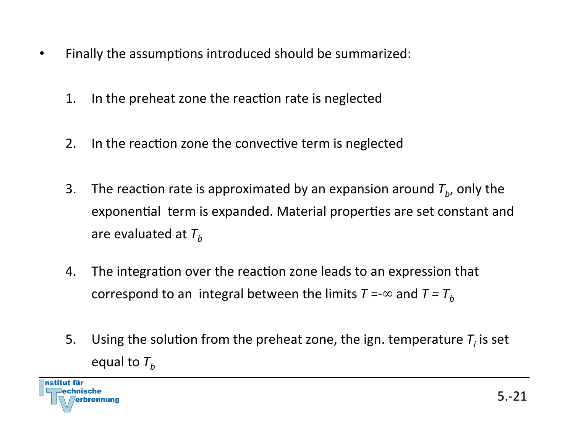- Finally the assumptions introduced should be summarized:
	- 1. In the preheat zone the reaction rate is neglected
	- 2. In the reaction zone the convective term is neglected
	- 3. The reaction rate is approximated by an expansion around  $T_b$ , only the exponential term is expanded. Material properties are set constant and are evaluated at  $T_h$
	- 4. The integration over the reaction zone leads to an expression that correspond to an integral between the limits  $T = -\infty$  and  $T = T_h$
	- 5. Using the solution from the preheat zone, the ign. temperature  $T_i$  is set equal to  $T_h$

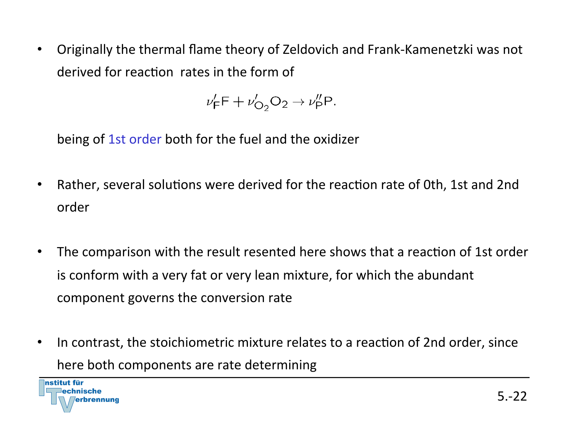Originally the thermal flame theory of Zeldovich and Frank-Kamenetzki was not derived for reaction rates in the form of

 $\nu'_F F + \nu'_{O_2} O_2 \rightarrow \nu''_P P$ .

being of 1st order both for the fuel and the oxidizer

- Rather, several solutions were derived for the reaction rate of 0th, 1st and 2nd order
- The comparison with the result resented here shows that a reaction of 1st order is conform with a very fat or very lean mixture, for which the abundant component governs the conversion rate
- In contrast, the stoichiometric mixture relates to a reaction of 2nd order, since here both components are rate determining

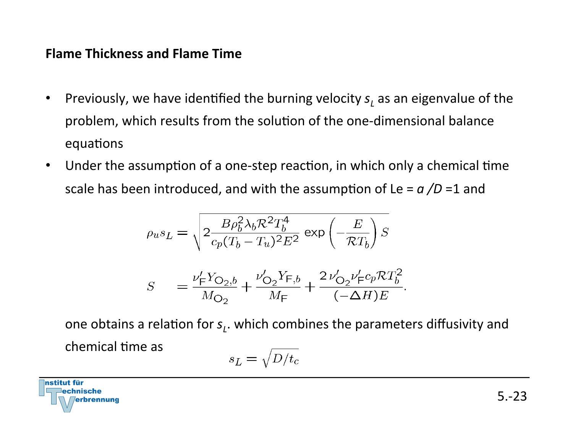## **Flame Thickness and Flame Time**

- Previously, we have identified the burning velocity  $s<sub>l</sub>$  as an eigenvalue of the problem, which results from the solution of the one-dimensional balance equations
- Under the assumption of a one-step reaction, in which only a chemical time scale has been introduced, and with the assumption of Le =  $a/D = 1$  and

$$
\rho_u s_L = \sqrt{2 \frac{B \rho_b^2 \lambda_b \mathcal{R}^2 T_b^4}{c_p (T_b - T_u)^2 E^2}} \exp\left(-\frac{E}{\mathcal{R} T_b}\right) S
$$

$$
S = \frac{\nu_{\mathsf{F}}^{\prime} Y_{\mathsf{O}_2, b}}{M_{\mathsf{O}_2}} + \frac{\nu_{\mathsf{O}_2}^{\prime} Y_{\mathsf{F}, b}}{M_{\mathsf{F}}} + \frac{2 \nu_{\mathsf{O}_2}^{\prime} \nu_{\mathsf{F}}^{\prime} c_p \mathcal{R} T_b^2}{(-\Delta H) E}
$$

one obtains a relation for  $s_l$ . which combines the parameters diffusivity and

chemical time as

$$
s_L = \sqrt{D/t_c}
$$

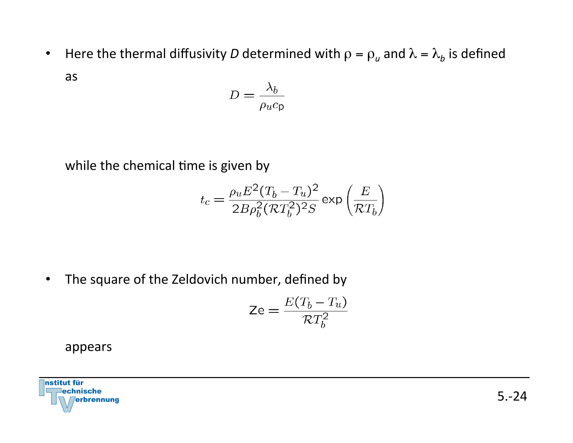• Here the thermal diffusivity *D* determined with  $\rho = \rho_u$  and  $\lambda = \lambda_b$  is defined as 

$$
D = \frac{\lambda_b}{\rho_u c_p}
$$

while the chemical time is given by

$$
t_c = \frac{\rho_u E^2 (T_b - T_u)^2}{2 B \rho_b^2 (\mathcal{R} T_b^2)^2 S} \exp\left(\frac{E}{\mathcal{R} T_b}\right)
$$

• The square of the Zeldovich number, defined by

$$
\mathsf{Ze} = \frac{E(T_b - T_u)}{\mathcal{R}T_b^2}
$$

appears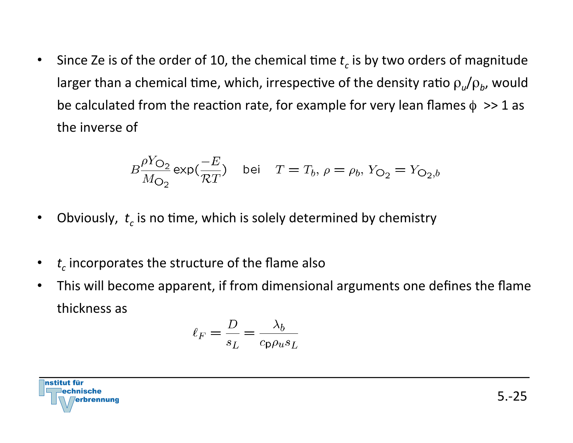Since Ze is of the order of 10, the chemical time  $t_c$  is by two orders of magnitude larger than a chemical time, which, irrespective of the density ratio  $\rho_{\mu}/\rho_{b}$ , would be calculated from the reaction rate, for example for very lean flames  $\phi \gg 1$  as the inverse of

$$
B\frac{\rho Y_{\text{O}_2}}{M_{\text{O}_2}} \exp(\frac{-E}{\mathcal{R}T}) \quad \text{bei} \quad T = T_b, \, \rho = \rho_b, \, Y_{\text{O}_2} = Y_{\text{O}_2, b}
$$

- Obviously,  $t_c$  is no time, which is solely determined by chemistry
- $t_c$  incorporates the structure of the flame also
- This will become apparent, if from dimensional arguments one defines the flame thickness as

$$
\ell_F = \frac{D}{s_L} = \frac{\lambda_b}{c_{\mathsf{p}} \rho_u s_L}
$$

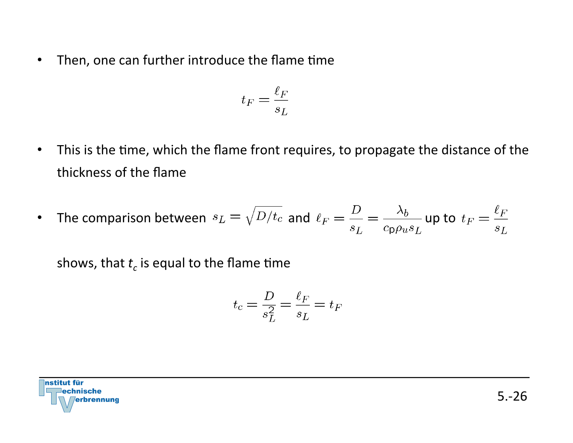Then, one can further introduce the flame time

$$
t_F=\frac{\ell_F}{s_L}
$$

- This is the time, which the flame front requires, to propagate the distance of the thickness of the flame
- The comparison between  $s_L = \sqrt{D/t_c}$  and  $\ell_F = \frac{D}{s_L} = \frac{\lambda_b}{c_{\text{p}} \rho_u s_L}$  up to  $t_F = \frac{\ell_F}{s_L}$

shows, that  $t_c$  is equal to the flame time

$$
t_c = \frac{D}{s_L^2} = \frac{\ell_F}{s_L} = t_F
$$

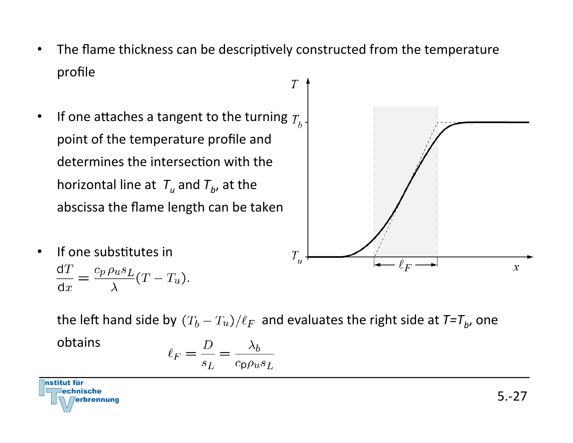- The flame thickness can be descriptively constructed from the temperature profile  $\overline{T}$
- If one attaches a tangent to the turning  $T_{\kappa}$ . point of the temperature profile and determines the intersection with the horizontal line at  $T_u$  and  $T_b$ , at the abscissa the flame length can be taken
- $T_u$  $\ell_F$  $\boldsymbol{x}$

If one substitutes in  $\frac{\mathrm{d}T}{\mathrm{d}x} = \frac{c_p \rho_u s_L}{\lambda} (T - T_u).$ 

the left hand side by  $(T_b - T_u)/\ell_F$  and evaluates the right side at  $T=T_b$ , one

obtains 

$$
\ell_F = \frac{D}{s_L} = \frac{\lambda_b}{c_{\text{p}} \rho_u s_L}
$$

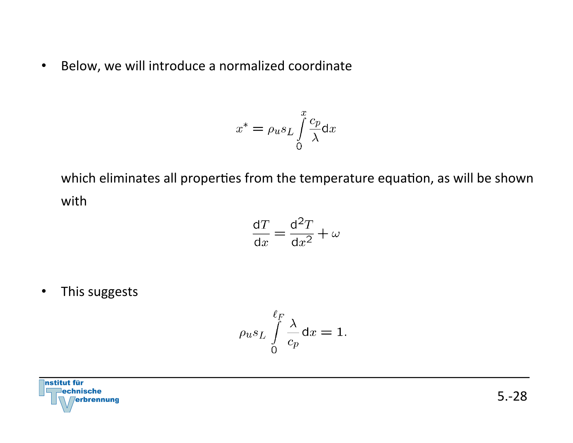• Below, we will introduce a normalized coordinate

$$
x^* = \rho_u s_L \int\limits_0^x \frac{c_p}{\lambda} \mathrm{d}x
$$

which eliminates all properties from the temperature equation, as will be shown with 

$$
\frac{\mathrm{d}T}{\mathrm{d}x} = \frac{\mathrm{d}^2T}{\mathrm{d}x^2} + \omega
$$

• This suggests

$$
\rho_u s_L \int\limits_0^{\ell_F} \frac{\lambda}{c_p} \mathrm{d}x = 1.
$$